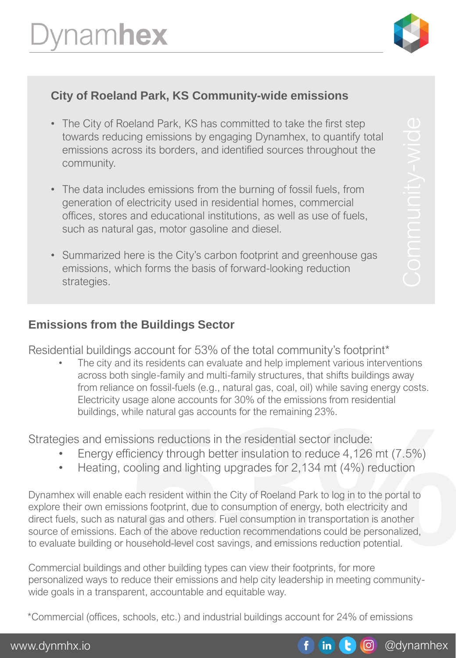

# **City of Roeland Park, KS Community-wide emissions**

- The City of Roeland Park, KS has committed to take the first step towards reducing emissions by engaging Dynamhex, to quantify total emissions across its borders, and identified sources throughout the community.
- The data includes emissions from the burning of fossil fuels, from generation of electricity used in residential homes, commercial offices, stores and educational institutions, as well as use of fuels, such as natural gas, motor gasoline and diesel.
- Summarized here is the City's carbon footprint and greenhouse gas emissions, which forms the basis of forward-looking reduction strategies.

#### **Emissions from the Buildings Sector**

Residential buildings account for 53% of the total community's footprint\*

The city and its residents can evaluate and help implement various interventions across both single-family and multi-family structures, that shifts buildings away from reliance on fossil-fuels (e.g., natural gas, coal, oil) while saving energy costs. Electricity usage alone accounts for 30% of the emissions from residential buildings, while natural gas accounts for the remaining 23%.

Strategies and emissions reductions in the residential sector include:

- Energy efficiency through better insulation to reduce 4,126 mt (7.5%)
- Heating, cooling and lighting upgrades for 2,134 mt (4%) reduction

hile natural gas accounts for the remaining 23%.<br> **Sions reductions in the residential sector include:**<br>
Triclency through better insulation to reduce 4,126 mt (7.5%)<br>
cooling and lighting upgrades for 2,134 mt (4%) reduct Dynamhex will enable each resident within the City of Roeland Park to log in to the portal to explore their own emissions footprint, due to consumption of energy, both electricity and direct fuels, such as natural gas and others. Fuel consumption in transportation is another source of emissions. Each of the above reduction recommendations could be personalized, to evaluate building or household-level cost savings, and emissions reduction potential.

Commercial buildings and other building types can view their footprints, for more personalized ways to reduce their emissions and help city leadership in meeting communitywide goals in a transparent, accountable and equitable way.

\*Commercial (offices, schools, etc.) and industrial buildings account for 24% of emissions

@dynamhex

 $\odot$ 

 $\mathbf{in}$  (t)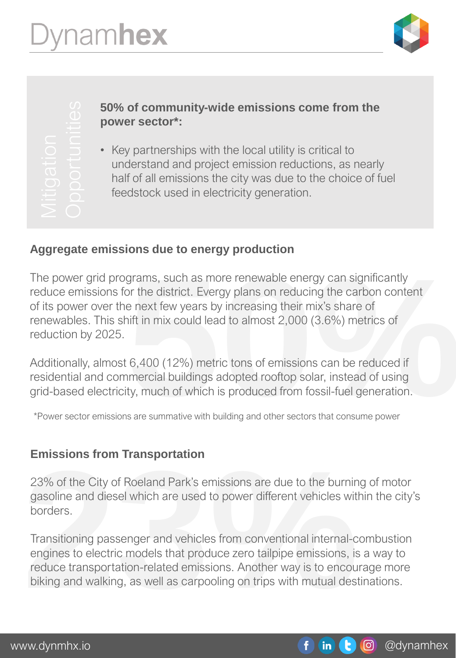

## **50% of community-wide emissions come from the power sector\*:**

• Key partnerships with the local utility is critical to understand and project emission reductions, as nearly half of all emissions the city was due to the choice of fuel feedstock used in electricity generation.

## **Aggregate emissions due to energy production**

grams, such as more renewable energy can significantly<br>or the district. Evergy plans on reducing the carbon content<br>e next few years by increasing their mix's share of<br>iift in mix could lead to almost 2,000 (3.6%) metrics The power grid programs, such as more renewable energy can significantly reduce emissions for the district. Evergy plans on reducing the carbon content of its power over the next few years by increasing their mix's share of renewables. This shift in mix could lead to almost 2,000 (3.6%) metrics of reduction by 2025.

Additionally, almost 6,400 (12%) metric tons of emissions can be reduced if residential and commercial buildings adopted rooftop solar, instead of using grid-based electricity, much of which is produced from fossil-fuel generation.

\*Power sector emissions are summative with building and other sectors that consume power

## **Emissions from Transportation**

23% of the City of Roeland Park's emissions are due to the burning of motor gasoline and diesel which are used to power different vehicles within the city's borders.

**Emissions from Transportation**<br>23% of the City of Roeland Park's emissions are due to the burnin<br>gasoline and diesel which are used to power different vehicles wit<br>borders.<br>Transitioning passenger and vehicles from conven Transitioning passenger and vehicles from conventional internal-combustion engines to electric models that produce zero tailpipe emissions, is a way to reduce transportation-related emissions. Another way is to encourage more biking and walking, as well as carpooling on trips with mutual destinations.